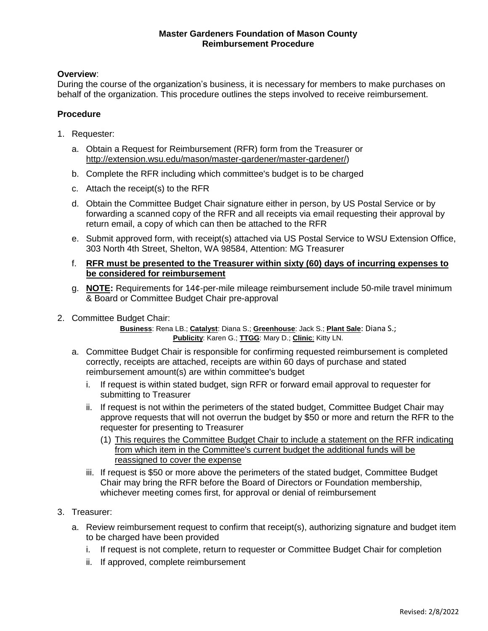## **Master Gardeners Foundation of Mason County Reimbursement Procedure**

## **Overview**:

During the course of the organization's business, it is necessary for members to make purchases on behalf of the organization. This procedure outlines the steps involved to receive reimbursement.

## **Procedure**

- 1. Requester:
	- a. Obtain a Request for Reimbursement (RFR) form from the Treasurer or http://extension.wsu.edu/mason/master-gardener/master-gardener/)
	- b. Complete the RFR including which committee's budget is to be charged
	- c. Attach the receipt(s) to the RFR
	- d. Obtain the Committee Budget Chair signature either in person, by US Postal Service or by forwarding a scanned copy of the RFR and all receipts via email requesting their approval by return email, a copy of which can then be attached to the RFR
	- e. Submit approved form, with receipt(s) attached via US Postal Service to WSU Extension Office, 303 North 4th Street, Shelton, WA 98584, Attention: MG Treasurer
	- f. **RFR must be presented to the Treasurer within sixty (60) days of incurring expenses to be considered for reimbursement**
	- g. **NOTE:** Requirements for 14¢-per-mile mileage reimbursement include 50-mile travel minimum & Board or Committee Budget Chair pre-approval
- 2. Committee Budget Chair:

**Business**: Rena LB.; **Catalyst**: Diana S.; **Greenhouse**: Jack S.; **Plant Sale**: Diana S.; **Publicity**: Karen G.; **TTGG**: Mary D.; **Clinic**: Kitty LN.

- a. Committee Budget Chair is responsible for confirming requested reimbursement is completed correctly, receipts are attached, receipts are within 60 days of purchase and stated reimbursement amount(s) are within committee's budget
	- i. If request is within stated budget, sign RFR or forward email approval to requester for submitting to Treasurer
	- ii. If request is not within the perimeters of the stated budget, Committee Budget Chair may approve requests that will not overrun the budget by \$50 or more and return the RFR to the requester for presenting to Treasurer
		- (1) This requires the Committee Budget Chair to include a statement on the RFR indicating from which item in the Committee's current budget the additional funds will be reassigned to cover the expense
	- iii. If request is \$50 or more above the perimeters of the stated budget, Committee Budget Chair may bring the RFR before the Board of Directors or Foundation membership, whichever meeting comes first, for approval or denial of reimbursement
- 3. Treasurer:
	- a. Review reimbursement request to confirm that receipt(s), authorizing signature and budget item to be charged have been provided
		- i. If request is not complete, return to requester or Committee Budget Chair for completion
		- ii. If approved, complete reimbursement